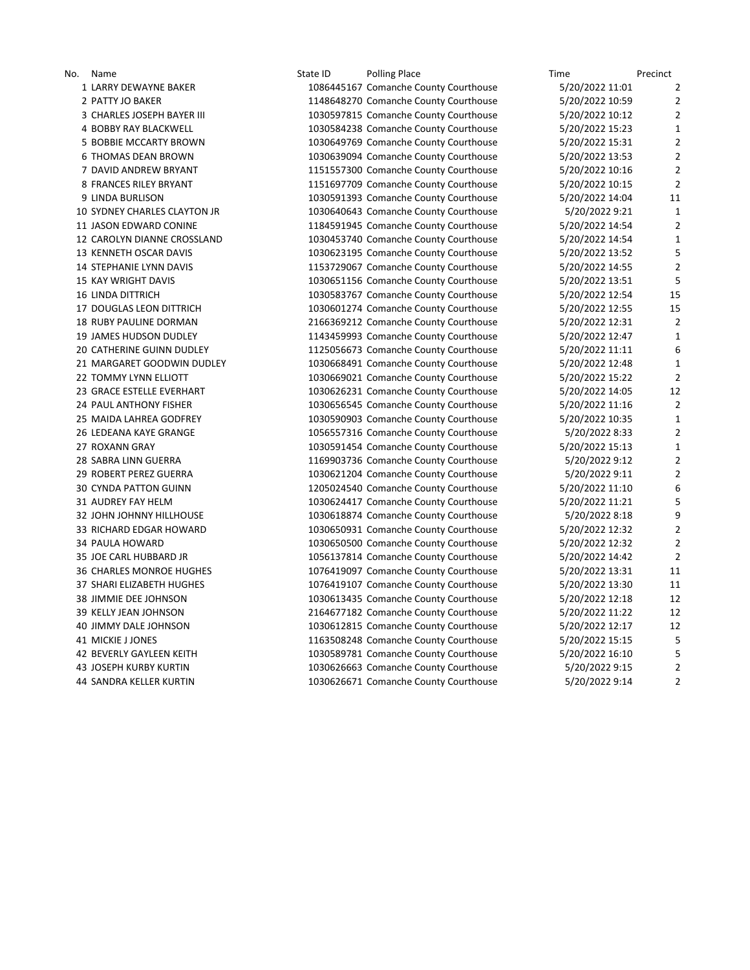No. Name State ID Polling Place Time Time Precinct Precinct LARRY DEWAYNE BAKER 1086445167 Comanche County Courthouse 5/20/2022 11:01 2 PATTY JO BAKER 1148648270 Comanche County Courthouse 5/20/2022 10:59 2 3 CHARLES JOSEPH BAYER III 1030597815 Comanche County Courthouse 5/20/2022 10:12 2 4 BOBBY RAY BLACKWELL 1030584238 Comanche County Courthouse 5/20/2022 15:23 1 BOBBIE MCCARTY BROWN 1030649769 Comanche County Courthouse 5/20/2022 15:31 2 THOMAS DEAN BROWN 1030639094 Comanche County Courthouse 5/20/2022 13:53 2 DAVID ANDREW BRYANT 1151557300 Comanche County Courthouse 5/20/2022 10:16 2 FRANCES RILEY BRYANT 1151697709 Comanche County Courthouse 5/20/2022 10:15 2 LINDA BURLISON 1030591393 Comanche County Courthouse 5/20/2022 14:04 11 SYDNEY CHARLES CLAYTON JR 1030640643 Comanche County Courthouse 5/20/2022 9:21 1 JASON EDWARD CONINE 1184591945 Comanche County Courthouse 5/20/2022 14:54 2 CAROLYN DIANNE CROSSLAND 1030453740 Comanche County Courthouse 5/20/2022 14:54 1 KENNETH OSCAR DAVIS 1030623195 Comanche County Courthouse 5/20/2022 13:52 5 STEPHANIE LYNN DAVIS 1153729067 Comanche County Courthouse 5/20/2022 14:55 2 KAY WRIGHT DAVIS 1030651156 Comanche County Courthouse 5/20/2022 13:51 5 LINDA DITTRICH 1030583767 Comanche County Courthouse 5/20/2022 12:54 15 DOUGLAS LEON DITTRICH 1030601274 Comanche County Courthouse 5/20/2022 12:55 15 RUBY PAULINE DORMAN 2166369212 Comanche County Courthouse 5/20/2022 12:31 2 JAMES HUDSON DUDLEY 1143459993 Comanche County Courthouse 5/20/2022 12:47 1 CATHERINE GUINN DUDLEY 1125056673 Comanche County Courthouse 5/20/2022 11:11 6 MARGARET GOODWIN DUDLEY 1030668491 Comanche County Courthouse 5/20/2022 12:48 1 TOMMY LYNN ELLIOTT 1030669021 Comanche County Courthouse 5/20/2022 15:22 2 GRACE ESTELLE EVERHART 1030626231 Comanche County Courthouse 5/20/2022 14:05 12 PAUL ANTHONY FISHER 1030656545 Comanche County Courthouse 5/20/2022 11:16 2 MAIDA LAHREA GODFREY 1030590903 Comanche County Courthouse 5/20/2022 10:35 1 LEDEANA KAYE GRANGE 1056557316 Comanche County Courthouse 5/20/2022 8:33 2 ROXANN GRAY 1030591454 Comanche County Courthouse 5/20/2022 15:13 1 SABRA LINN GUERRA 1169903736 Comanche County Courthouse 5/20/2022 9:12 2 ROBERT PEREZ GUERRA 1030621204 Comanche County Courthouse 5/20/2022 9:11 2 CYNDA PATTON GUINN 1205024540 Comanche County Courthouse 5/20/2022 11:10 6 AUDREY FAY HELM 1030624417 Comanche County Courthouse 5/20/2022 11:21 5 JOHN JOHNNY HILLHOUSE 1030618874 Comanche County Courthouse 5/20/2022 8:18 9 RICHARD EDGAR HOWARD 1030650931 Comanche County Courthouse 5/20/2022 12:32 2 PAULA HOWARD 1030650500 Comanche County Courthouse 5/20/2022 12:32 2 JOE CARL HUBBARD JR 1056137814 Comanche County Courthouse 5/20/2022 14:42 2 CHARLES MONROE HUGHES 1076419097 Comanche County Courthouse 5/20/2022 13:31 11 SHARI ELIZABETH HUGHES 1076419107 Comanche County Courthouse 5/20/2022 13:30 11 JIMMIE DEE JOHNSON 1030613435 Comanche County Courthouse 5/20/2022 12:18 12 KELLY JEAN JOHNSON 2164677182 Comanche County Courthouse 5/20/2022 11:22 12 JIMMY DALE JOHNSON 1030612815 Comanche County Courthouse 5/20/2022 12:17 12 41 MICKIE J JONES 1163508248 Comanche County Courthouse 5/20/2022 15:15 5 BEVERLY GAYLEEN KEITH 1030589781 Comanche County Courthouse 5/20/2022 16:10 5 JOSEPH KURBY KURTIN 1030626663 Comanche County Courthouse 5/20/2022 9:15 2 SANDRA KELLER KURTIN 1030626671 Comanche County Courthouse 5/20/2022 9:14 2